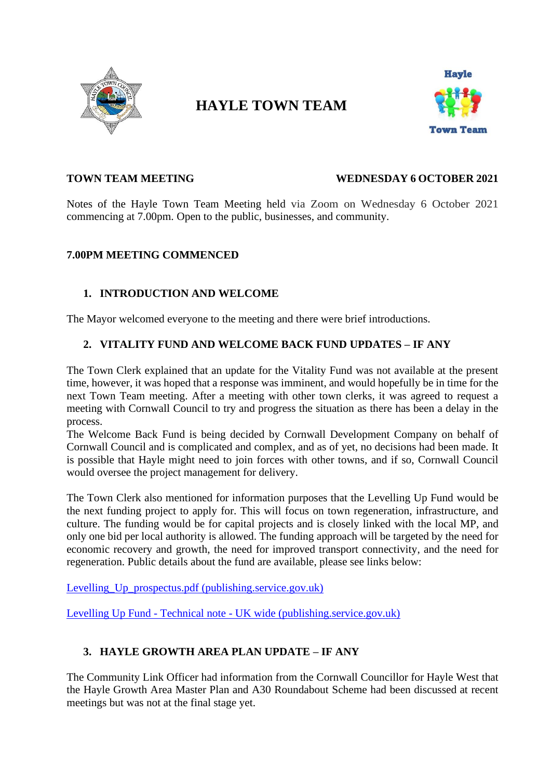

# **HAYLE TOWN TEAM**



#### **TOWN TEAM MEETING WEDNESDAY 6 OCTOBER 2021**

Notes of the Hayle Town Team Meeting held via Zoom on Wednesday 6 October 2021 commencing at 7.00pm. Open to the public, businesses, and community.

#### **7.00PM MEETING COMMENCED**

# **1. INTRODUCTION AND WELCOME**

The Mayor welcomed everyone to the meeting and there were brief introductions.

### **2. VITALITY FUND AND WELCOME BACK FUND UPDATES – IF ANY**

The Town Clerk explained that an update for the Vitality Fund was not available at the present time, however, it was hoped that a response was imminent, and would hopefully be in time for the next Town Team meeting. After a meeting with other town clerks, it was agreed to request a meeting with Cornwall Council to try and progress the situation as there has been a delay in the process.

The Welcome Back Fund is being decided by Cornwall Development Company on behalf of Cornwall Council and is complicated and complex, and as of yet, no decisions had been made. It is possible that Hayle might need to join forces with other towns, and if so, Cornwall Council would oversee the project management for delivery.

The Town Clerk also mentioned for information purposes that the Levelling Up Fund would be the next funding project to apply for. This will focus on town regeneration, infrastructure, and culture. The funding would be for capital projects and is closely linked with the local MP, and only one bid per local authority is allowed. The funding approach will be targeted by the need for economic recovery and growth, the need for improved transport connectivity, and the need for regeneration. Public details about the fund are available, please see links below:

Levelling Up prospectus.pdf (publishing.service.gov.uk)

Levelling Up Fund - Technical note - [UK wide \(publishing.service.gov.uk\)](https://eur03.safelinks.protection.outlook.com/?url=https%3A%2F%2Fassets.publishing.service.gov.uk%2Fgovernment%2Fuploads%2Fsystem%2Fuploads%2Fattachment_data%2Ffile%2F992647%2Ftechnical-note-for-application-form.pdf&data=04%7C01%7CVanessa.Luckwell%40cornwall.gov.uk%7C71b3381a1ab943f936b508d99222a00e%7Cefaa16aad1de4d58ba2e2833fdfdd29f%7C0%7C0%7C637701499834260094%7CUnknown%7CTWFpbGZsb3d8eyJWIjoiMC4wLjAwMDAiLCJQIjoiV2luMzIiLCJBTiI6Ik1haWwiLCJXVCI6Mn0%3D%7C1000&sdata=%2BfEpy%2BpuVTKzcvRo1IqY5%2F0hYJtCmXwh2IdqDpItVhU%3D&reserved=0)

# **3. HAYLE GROWTH AREA PLAN UPDATE – IF ANY**

The Community Link Officer had information from the Cornwall Councillor for Hayle West that the Hayle Growth Area Master Plan and A30 Roundabout Scheme had been discussed at recent meetings but was not at the final stage yet.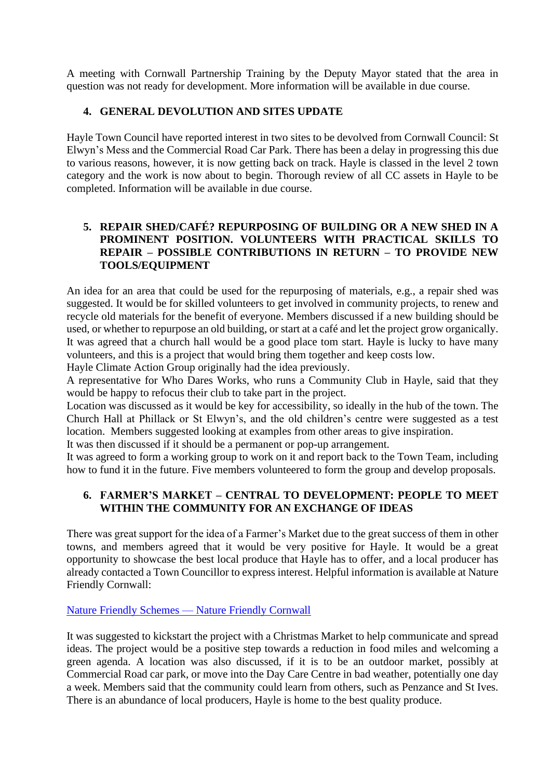A meeting with Cornwall Partnership Training by the Deputy Mayor stated that the area in question was not ready for development. More information will be available in due course.

# **4. GENERAL DEVOLUTION AND SITES UPDATE**

Hayle Town Council have reported interest in two sites to be devolved from Cornwall Council: St Elwyn's Mess and the Commercial Road Car Park. There has been a delay in progressing this due to various reasons, however, it is now getting back on track. Hayle is classed in the level 2 town category and the work is now about to begin. Thorough review of all CC assets in Hayle to be completed. Information will be available in due course.

### **5. REPAIR SHED/CAFÉ? REPURPOSING OF BUILDING OR A NEW SHED IN A PROMINENT POSITION. VOLUNTEERS WITH PRACTICAL SKILLS TO REPAIR – POSSIBLE CONTRIBUTIONS IN RETURN – TO PROVIDE NEW TOOLS/EQUIPMENT**

An idea for an area that could be used for the repurposing of materials, e.g., a repair shed was suggested. It would be for skilled volunteers to get involved in community projects, to renew and recycle old materials for the benefit of everyone. Members discussed if a new building should be used, or whether to repurpose an old building, or start at a café and let the project grow organically. It was agreed that a church hall would be a good place tom start. Hayle is lucky to have many volunteers, and this is a project that would bring them together and keep costs low.

Hayle Climate Action Group originally had the idea previously.

A representative for Who Dares Works, who runs a Community Club in Hayle, said that they would be happy to refocus their club to take part in the project.

Location was discussed as it would be key for accessibility, so ideally in the hub of the town. The Church Hall at Phillack or St Elwyn's, and the old children's centre were suggested as a test location. Members suggested looking at examples from other areas to give inspiration.

It was then discussed if it should be a permanent or pop-up arrangement.

It was agreed to form a working group to work on it and report back to the Town Team, including how to fund it in the future. Five members volunteered to form the group and develop proposals.

# **6. FARMER'S MARKET – CENTRAL TO DEVELOPMENT: PEOPLE TO MEET WITHIN THE COMMUNITY FOR AN EXCHANGE OF IDEAS**

There was great support for the idea of a Farmer's Market due to the great success of them in other towns, and members agreed that it would be very positive for Hayle. It would be a great opportunity to showcase the best local produce that Hayle has to offer, and a local producer has already contacted a Town Councillor to express interest. Helpful information is available at Nature Friendly Cornwall:

### [Nature Friendly Schemes —](https://www.naturefriendlycornwall.org.uk/being-nature-friendly) Nature Friendly Cornwall

It was suggested to kickstart the project with a Christmas Market to help communicate and spread ideas. The project would be a positive step towards a reduction in food miles and welcoming a green agenda. A location was also discussed, if it is to be an outdoor market, possibly at Commercial Road car park, or move into the Day Care Centre in bad weather, potentially one day a week. Members said that the community could learn from others, such as Penzance and St Ives. There is an abundance of local producers, Hayle is home to the best quality produce.